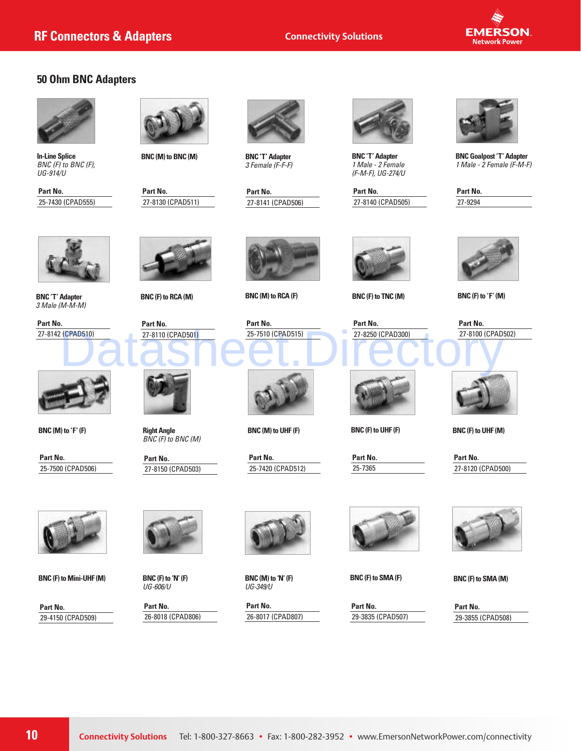

### **50 Ohm BNC Adapters**



**In-Line Splice** *BNC (F) to BNC (F), UG-914/U*

**Part No.** 25-7430 (CPAD555)



**BNC (M) to BNC (M)**

**Part No.** 27-8130 (CPAD511)



**BNC 'T' Adapter**  *3 Female (F-F-F)*

**Part No.** 27-8141 (CPAD506)



**BNC 'T' Adapter**  *1 Male - 2 Female (F-M-F), UG-274/U* 

**Part No.** 27-8140 (CPAD505)



**BNC Goalpost 'T' Adapter** *1 Male - 2 Female (F-M-F)*

| Part No. |  |
|----------|--|
| 27-9294  |  |
|          |  |



**BNC 'T' Adapter** *3 Male (M-M-M)*

**Part No.** 27-8142 (CPAD510)





**BNC (M) to 'F' (F)**

**Part No.** 25-7500 (CPAD506)



**BNC (F) to Mini-UHF (M)**

**Part No.** 29-4150 (CPAD509)



**BNC (F) to RCA (M)**





**Right Angle**  *BNC (F) to BNC (M)*

**Part No.** 27-8150 (CPAD503)



**BNC (F) to 'N' (F)** *UG-606/U*

**Part No.** 26-8018 (CPAD806)



**BNC (M) to RCA (F)**



**BNC (M) to UHF (F)**

**Part No.** 25-7420 (CPAD512)



**BNC (M) to 'N' (F)** *UG-349/U*

**Part No.** 26-8017 (CPAD807)



**BNC (F) to TNC (M)**



**BNC (F) to UHF (F)**

**Part No.** 25-7365



**BNC (F) to 'F' (M)**



**BNC (F) to UHF (M)**

**Part No.** 27-8120 (CPAD500)



**BNC (F) to SMA (M)**

**Part No.** 29-3855 (CPAD508)



**BNC (F) to SMA (F)**

**Part No.** 29-3835 (CPAD507)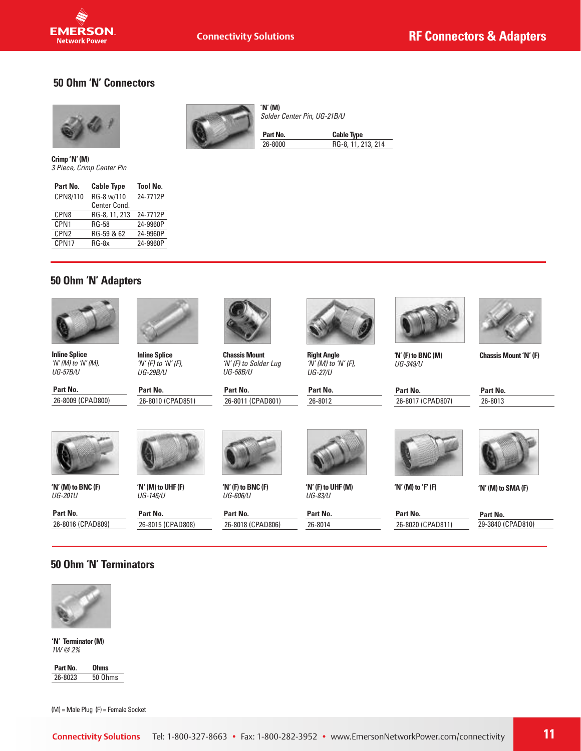#### **50 Ohm 'N' Connectors**



**State EMERSON Network Power** 

**Crimp 'N' (M)**  *3 Piece, Crimp Center Pin*

| Part No.         | <b>Cable Type</b> | <b>Tool No.</b> |
|------------------|-------------------|-----------------|
| CPN8/110         | RG-8 w/110        | 24-7712P        |
|                  | Center Cond.      |                 |
| CPN <sub>8</sub> | RG-8, 11, 213     | 24-7712P        |
| CPN1             | <b>RG-58</b>      | 24-9960P        |
| CPN <sub>2</sub> | RG-59 & 62        | 24-9960P        |
| CPN17            | $RG-8x$           | 24-9960P        |
|                  |                   |                 |



**'N' (M)** *Solder Center Pin, UG-21B/U*

**Part No. Cable Type** 26-8000 RG-8, 11, 213, 214

# **50 Ohm 'N' Adapters**



**Inline Splice** *'N' (M) to 'N' (M), UG-57B/U*

**Part No.** 26-8009 (CPAD800)



**Inline Splice** *'N' (F) to 'N' (F), UG-29B/U*

**Part No.** 26-8010 (CPAD851)



**Chassis Mount** *'N' (F) to Solder Lug UG-58B/U*

**Part No.** 26-8011 (CPAD801)



**Right Angle** *'N' (M) to 'N' (F), UG-27/U*

**Part No.** 26-8012



**Chassis Mount 'N' (F)**

**Part No.** 26-8017 (CPAD807)

**Part No.** 26-8013



**'N' (M) to BNC (F)** *UG-201U*

**Part No.** 26-8016 (CPAD809)



**'N' (M) to UHF (F)**  *UG-146/U*

26-8015 (CPAD808)

**Part No.**

*UG-606/U* **Part No.**

**'N' (F) to BNC (F)**

26-8018 (CPAD806)



**'N' (F) to UHF (M)** *UG-83/U*

**Part No.** 26-8014



**'N' (M) to 'F' (F)**

**Part No.** 26-8020 (CPAD811) **Part No.**

**'N' (M) to SMA (F)**

29-3840 (CPAD810)

#### **50 Ohm 'N' Terminators**



**'N' Terminator (M)**  *1W @ 2%*

**Part No. 0hms**<br>26-8023 50 Oh 50 Ohms

(M) = Male Plug (F) = Female Socket